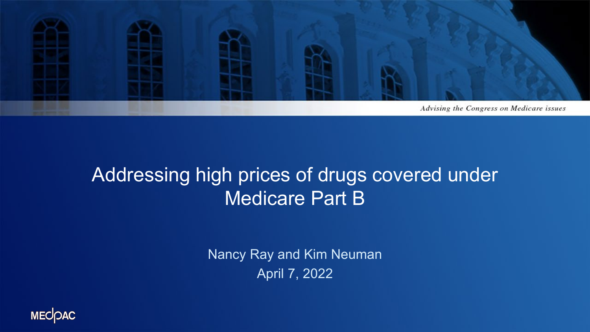

#### Addressing high prices of drugs covered under Medicare Part B

Nancy Ray and Kim Neuman April 7, 2022

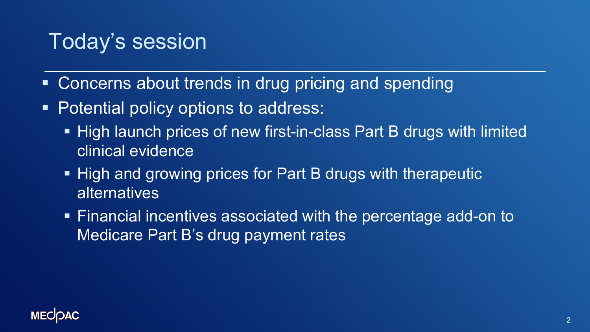#### Today's session

- Concerns about trends in drug pricing and spending
- Potential policy options to address:
	- High launch prices of new first-in-class Part B drugs with limited clinical evidence
	- High and growing prices for Part B drugs with therapeutic alternatives
	- Financial incentives associated with the percentage add-on to Medicare Part B's drug payment rates

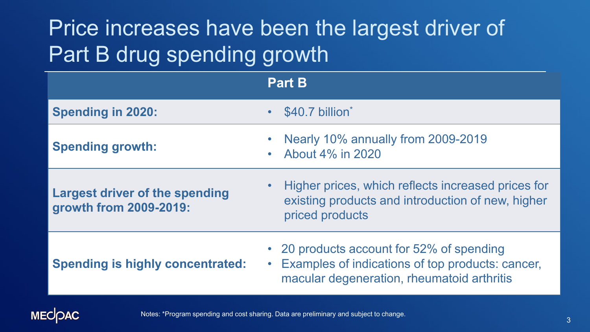# Price increases have been the largest driver of Part B drug spending growth

|                                                                 | <b>Part B</b>                                                                                                                                            |  |  |
|-----------------------------------------------------------------|----------------------------------------------------------------------------------------------------------------------------------------------------------|--|--|
| <b>Spending in 2020:</b>                                        | • \$40.7 billion*                                                                                                                                        |  |  |
| <b>Spending growth:</b>                                         | Nearly 10% annually from 2009-2019<br>• About $4\%$ in 2020                                                                                              |  |  |
| <b>Largest driver of the spending</b><br>growth from 2009-2019: | Higher prices, which reflects increased prices for<br>$\bullet$ .<br>existing products and introduction of new, higher<br>priced products                |  |  |
| <b>Spending is highly concentrated:</b>                         | • 20 products account for 52% of spending<br>Examples of indications of top products: cancer,<br>$\bullet$<br>macular degeneration, rheumatoid arthritis |  |  |

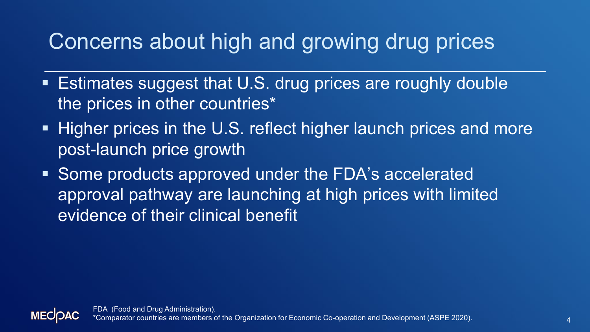## Concerns about high and growing drug prices

- **Estimates suggest that U.S. drug prices are roughly double** the prices in other countries\*
- **Higher prices in the U.S. reflect higher launch prices and more** post-launch price growth
- Some products approved under the FDA's accelerated approval pathway are launching at high prices with limited evidence of their clinical benefit

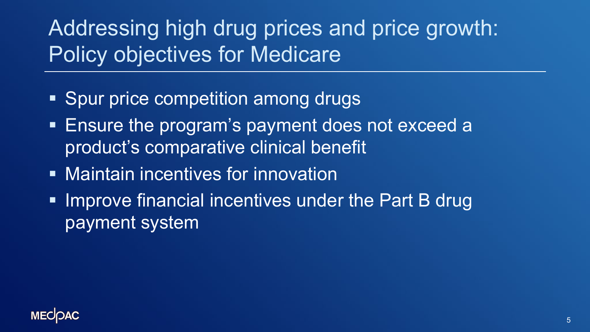# Addressing high drug prices and price growth: Policy objectives for Medicare

- Spur price competition among drugs
- Ensure the program's payment does not exceed a product's comparative clinical benefit
- **Maintain incentives for innovation**
- **IMPROVE financial incentives under the Part B drug** payment system

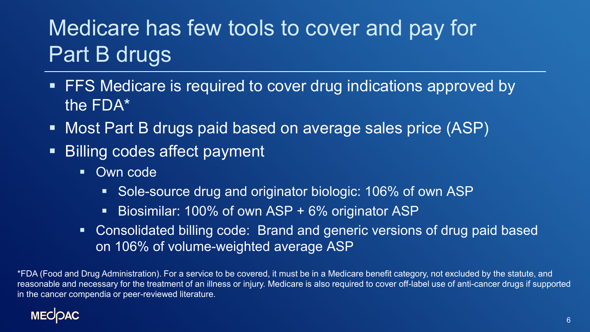# Medicare has few tools to cover and pay for Part B drugs

- **FFS Medicare is required to cover drug indications approved by** the FDA\*
- Most Part B drugs paid based on average sales price (ASP)
- Billing codes affect payment
	- **Own code** 
		- Sole-source drug and originator biologic: 106% of own ASP
		- Biosimilar: 100% of own ASP + 6% originator ASP
	- Consolidated billing code: Brand and generic versions of drug paid based on 106% of volume-weighted average ASP

\*FDA (Food and Drug Administration). For a service to be covered, it must be in a Medicare benefit category, not excluded by the statute, and reasonable and necessary for the treatment of an illness or injury. Medicare is also required to cover off-label use of anti-cancer drugs if supported in the cancer compendia or peer-reviewed literature.

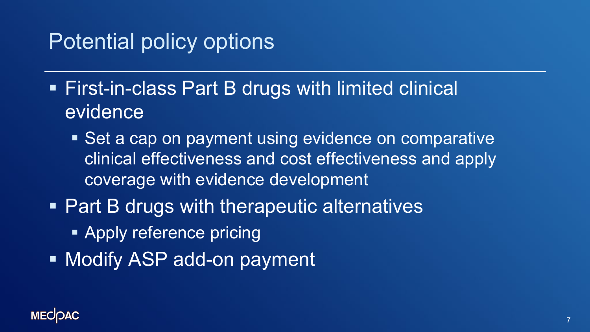#### Potential policy options

- First-in-class Part B drugs with limited clinical evidence
	- Set a cap on payment using evidence on comparative clinical effectiveness and cost effectiveness and apply coverage with evidence development
- **Part B drugs with therapeutic alternatives** 
	- **Apply reference pricing**
- **Nodify ASP add-on payment**

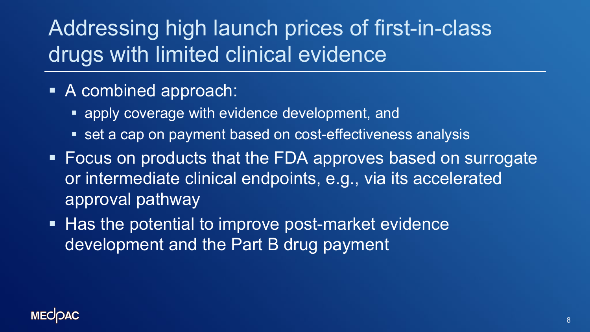## Addressing high launch prices of first-in-class drugs with limited clinical evidence

- A combined approach:
	- apply coverage with evidence development, and
	- **set a cap on payment based on cost-effectiveness analysis**
- Focus on products that the FDA approves based on surrogate or intermediate clinical endpoints, e.g., via its accelerated approval pathway
- Has the potential to improve post-market evidence development and the Part B drug payment

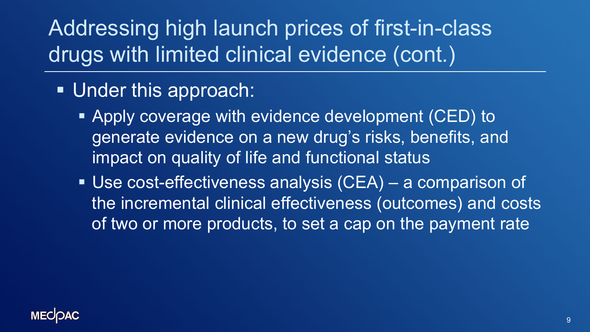# Addressing high launch prices of first-in-class drugs with limited clinical evidence (cont.)

- **Under this approach:** 
	- **Apply coverage with evidence development (CED) to** generate evidence on a new drug's risks, benefits, and impact on quality of life and functional status
	- Use cost-effectiveness analysis (CEA) a comparison of the incremental clinical effectiveness (outcomes) and costs of two or more products, to set a cap on the payment rate

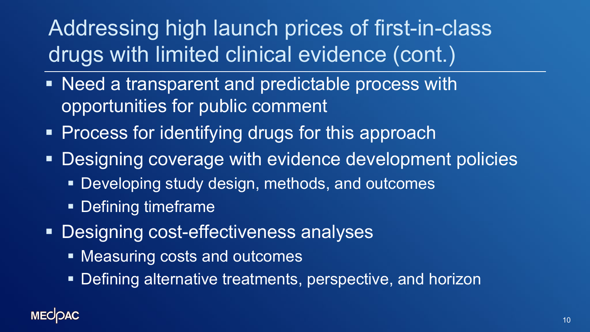Addressing high launch prices of first-in-class drugs with limited clinical evidence (cont.)

- **Need a transparent and predictable process with** opportunities for public comment
- **Process for identifying drugs for this approach**
- Designing coverage with evidence development policies
	- Developing study design, methods, and outcomes
	- Defining timeframe
- **Designing cost-effectiveness analyses** 
	- Measuring costs and outcomes
	- **Defining alternative treatments, perspective, and horizon**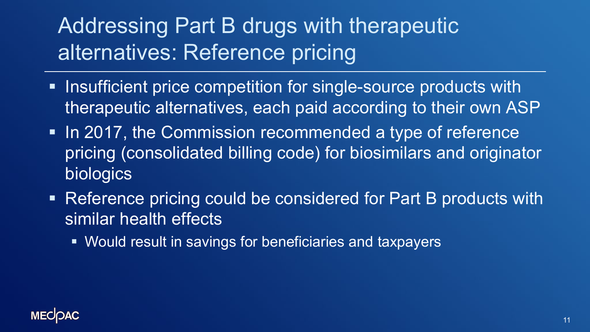# Addressing Part B drugs with therapeutic alternatives: Reference pricing

- **Insufficient price competition for single-source products with** therapeutic alternatives, each paid according to their own ASP
- In 2017, the Commission recommended a type of reference pricing (consolidated billing code) for biosimilars and originator biologics
- **Reference pricing could be considered for Part B products with** similar health effects
	- Would result in savings for beneficiaries and taxpayers

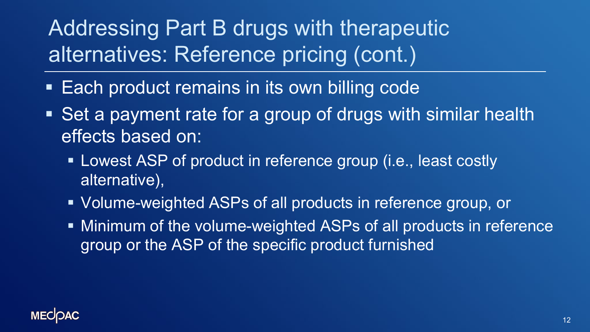Addressing Part B drugs with therapeutic alternatives: Reference pricing (cont.)

- **Each product remains in its own billing code**
- Set a payment rate for a group of drugs with similar health effects based on:
	- **EXA)** Lowest ASP of product in reference group (i.e., least costly alternative),
	- Volume-weighted ASPs of all products in reference group, or
	- Minimum of the volume-weighted ASPs of all products in reference group or the ASP of the specific product furnished

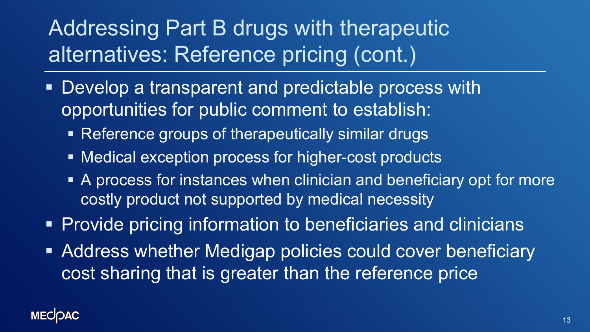# Addressing Part B drugs with therapeutic alternatives: Reference pricing (cont.)

- **Develop a transparent and predictable process with** opportunities for public comment to establish:
	- Reference groups of therapeutically similar drugs
	- Medical exception process for higher-cost products
	- A process for instances when clinician and beneficiary opt for more costly product not supported by medical necessity
- **Provide pricing information to beneficiaries and clinicians**
- Address whether Medigap policies could cover beneficiary cost sharing that is greater than the reference price

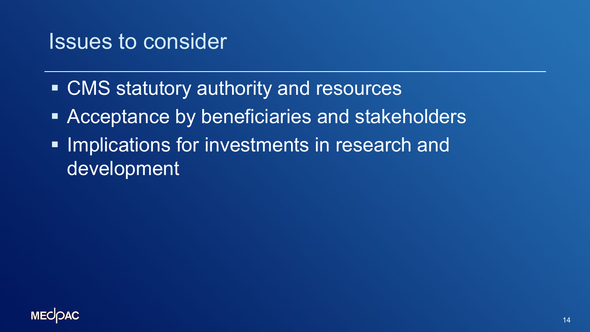#### Issues to consider

- CMS statutory authority and resources
- **EXPERIGE Acceptance by beneficiaries and stakeholders**
- **Implications for investments in research and** development

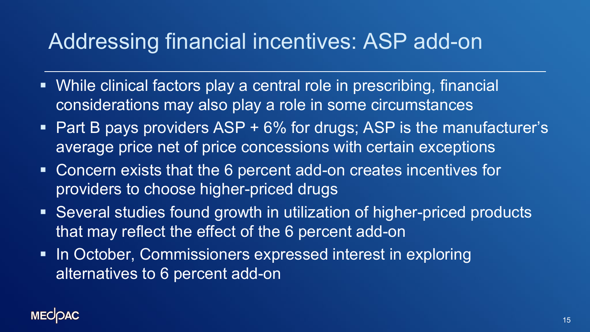#### Addressing financial incentives: ASP add-on

- While clinical factors play a central role in prescribing, financial considerations may also play a role in some circumstances
- $\blacksquare$  Part B pays providers ASP + 6% for drugs; ASP is the manufacturer's average price net of price concessions with certain exceptions
- Concern exists that the 6 percent add-on creates incentives for providers to choose higher-priced drugs
- Several studies found growth in utilization of higher-priced products that may reflect the effect of the 6 percent add-on
- In October, Commissioners expressed interest in exploring alternatives to 6 percent add-on

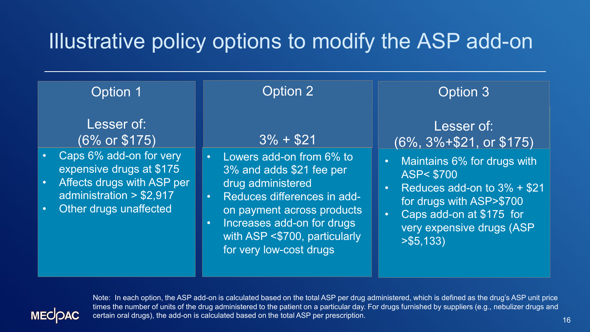#### Illustrative policy options to modify the ASP add-on

| Option 1                                                                                                                                                                                         | Option 2                                                                                                                                                                                                                                                                                   | Option 3                                                                                                                                                                                                                                                                             |
|--------------------------------------------------------------------------------------------------------------------------------------------------------------------------------------------------|--------------------------------------------------------------------------------------------------------------------------------------------------------------------------------------------------------------------------------------------------------------------------------------------|--------------------------------------------------------------------------------------------------------------------------------------------------------------------------------------------------------------------------------------------------------------------------------------|
| Lesser of:<br>(6% or \$175)<br>Caps 6% add-on for very<br>expensive drugs at \$175<br>Affects drugs with ASP per<br>$\bullet$<br>administration > \$2,917<br>Other drugs unaffected<br>$\bullet$ | $3\% + $21$<br>Lowers add-on from 6% to<br>$\bullet$ .<br>3% and adds \$21 fee per<br>drug administered<br>Reduces differences in add-<br>$\bullet$ .<br>on payment across products<br>Increases add-on for drugs<br>$\bullet$<br>with ASP <\$700, particularly<br>for very low-cost drugs | Lesser of:<br>$(6\%, 3\% + $21, \text{ or } $175)$<br>Maintains 6% for drugs with<br>$\bullet$<br><b>ASP&lt; \$700</b><br>Reduces add-on to $3\% + $21$<br>$\bullet$<br>for drugs with ASP>\$700<br>Caps add-on at \$175 for<br>$\bullet$<br>very expensive drugs (ASP<br>> \$5,133) |



Note: In each option, the ASP add-on is calculated based on the total ASP per drug administered, which is defined as the drug's ASP unit price times the number of units of the drug administered to the patient on a particular day. For drugs furnished by suppliers (e.g., nebulizer drugs and certain oral drugs), the add-on is calculated based on the total ASP per prescription.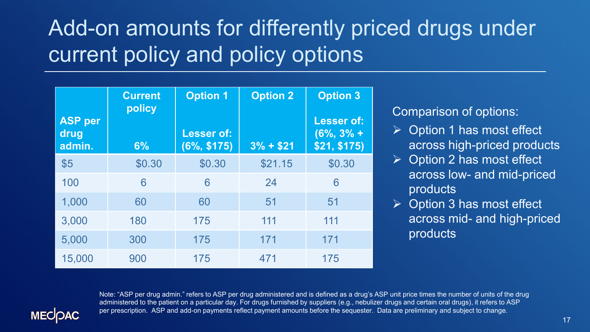# Add-on amounts for differently priced drugs under current policy and policy options

|                                  | <b>Current</b><br>policy | <b>Option 1</b>                    | <b>Option 2</b> | <b>Option 3</b>                                    |
|----------------------------------|--------------------------|------------------------------------|-----------------|----------------------------------------------------|
| <b>ASP per</b><br>drug<br>admin. | 6%                       | <b>Lesser of:</b><br>$(6\%, $175)$ | $3% + $21$      | <b>Lesser of:</b><br>$(6\%, 3\% +$<br>\$21, \$175) |
| \$5                              | \$0.30                   | \$0.30                             | \$21.15         | \$0.30                                             |
| 100                              | 6                        | 6                                  | 24              | 6                                                  |
| 1,000                            | 60                       | 60                                 | 51              | 51                                                 |
| 3,000                            | 180                      | 175                                | 111             | 111                                                |
| 5,000                            | 300                      | 175                                | 171             | 171                                                |
| 15,000                           | 900                      | 175                                | 471             | 175                                                |

Comparison of options:

- Option 1 has most effect across high-priced products
- Option 2 has most effect across low- and mid-priced products
- Option 3 has most effect across mid- and high-priced products

Note: "ASP per drug admin." refers to ASP per drug administered and is defined as a drug's ASP unit price times the number of units of the drug administered to the patient on a particular day. For drugs furnished by suppliers (e.g., nebulizer drugs and certain oral drugs), it refers to ASP per prescription. ASP and add-on payments reflect payment amounts before the sequester. Data are preliminary and subject to change.

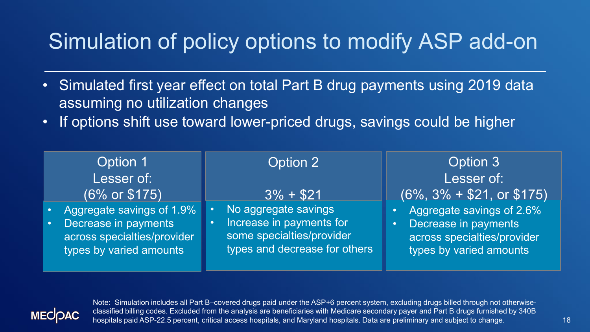## Simulation of policy options to modify ASP add-on

- Simulated first year effect on total Part B drug payments using 2019 data assuming no utilization changes
- If options shift use toward lower-priced drugs, savings could be higher

| Option 1                                                                                                    | Option 2                                                                                                                    | Option 3                                                                                                    |  |
|-------------------------------------------------------------------------------------------------------------|-----------------------------------------------------------------------------------------------------------------------------|-------------------------------------------------------------------------------------------------------------|--|
| Lesser of:                                                                                                  |                                                                                                                             | Lesser of:                                                                                                  |  |
| (6% or \$175)                                                                                               | $3\% + $21$                                                                                                                 | $(6\%, 3\% + $21, \text{ or } $175)$                                                                        |  |
| Aggregate savings of 1.9%<br>Decrease in payments<br>across specialties/provider<br>types by varied amounts | No aggregate savings<br>$\bullet$<br>Increase in payments for<br>some specialties/provider<br>types and decrease for others | Aggregate savings of 2.6%<br>Decrease in payments<br>across specialties/provider<br>types by varied amounts |  |



Note: Simulation includes all Part B–covered drugs paid under the ASP+6 percent system, excluding drugs billed through not otherwiseclassified billing codes. Excluded from the analysis are beneficiaries with Medicare secondary payer and Part B drugs furnished by 340B hospitals paid ASP-22.5 percent, critical access hospitals, and Maryland hospitals. Data are preliminary and subject to change.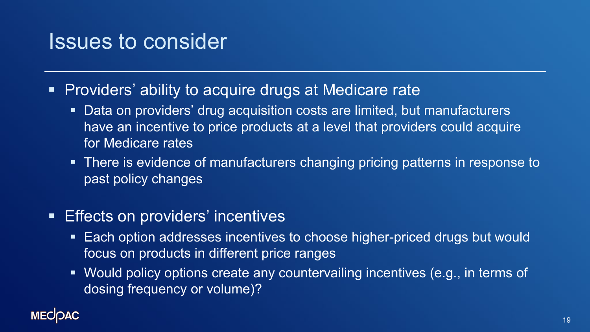#### Issues to consider

- **Providers' ability to acquire drugs at Medicare rate** 
	- Data on providers' drug acquisition costs are limited, but manufacturers have an incentive to price products at a level that providers could acquire for Medicare rates
	- There is evidence of manufacturers changing pricing patterns in response to past policy changes
- **Effects on providers' incentives** 
	- Each option addresses incentives to choose higher-priced drugs but would focus on products in different price ranges
	- Would policy options create any countervailing incentives (e.g., in terms of dosing frequency or volume)?

#### **MECOAC**